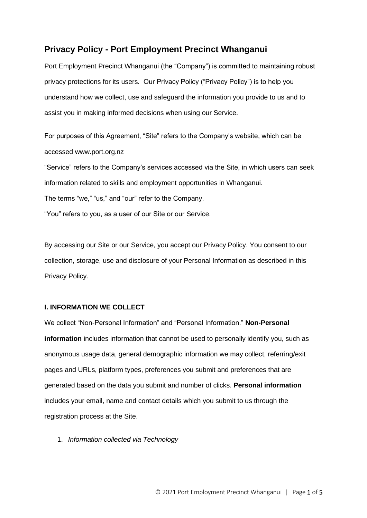# **Privacy Policy - Port Employment Precinct Whanganui**

Port Employment Precinct Whanganui (the "Company") is committed to maintaining robust privacy protections for its users. Our Privacy Policy ("Privacy Policy") is to help you understand how we collect, use and safeguard the information you provide to us and to assist you in making informed decisions when using our Service.

For purposes of this Agreement, "Site" refers to the Company's website, which can be accessed www.port.org.nz

"Service" refers to the Company's services accessed via the Site, in which users can seek information related to skills and employment opportunities in Whanganui.

The terms "we," "us," and "our" refer to the Company.

"You" refers to you, as a user of our Site or our Service.

By accessing our Site or our Service, you accept our Privacy Policy. You consent to our collection, storage, use and disclosure of your Personal Information as described in this Privacy Policy.

# **I. INFORMATION WE COLLECT**

We collect "Non-Personal Information" and "Personal Information." **Non-Personal information** includes information that cannot be used to personally identify you, such as anonymous usage data, general demographic information we may collect, referring/exit pages and URLs, platform types, preferences you submit and preferences that are generated based on the data you submit and number of clicks. **Personal information** includes your email, name and contact details which you submit to us through the registration process at the Site.

1. *Information collected via Technology*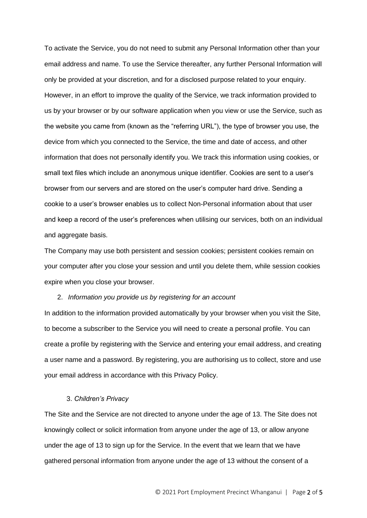To activate the Service, you do not need to submit any Personal Information other than your email address and name. To use the Service thereafter, any further Personal Information will only be provided at your discretion, and for a disclosed purpose related to your enquiry. However, in an effort to improve the quality of the Service, we track information provided to us by your browser or by our software application when you view or use the Service, such as the website you came from (known as the "referring URL"), the type of browser you use, the device from which you connected to the Service, the time and date of access, and other information that does not personally identify you. We track this information using cookies, or small text files which include an anonymous unique identifier. Cookies are sent to a user's browser from our servers and are stored on the user's computer hard drive. Sending a cookie to a user's browser enables us to collect Non-Personal information about that user and keep a record of the user's preferences when utilising our services, both on an individual and aggregate basis.

The Company may use both persistent and session cookies; persistent cookies remain on your computer after you close your session and until you delete them, while session cookies expire when you close your browser.

#### 2. *Information you provide us by registering for an account*

In addition to the information provided automatically by your browser when you visit the Site, to become a subscriber to the Service you will need to create a personal profile. You can create a profile by registering with the Service and entering your email address, and creating a user name and a password. By registering, you are authorising us to collect, store and use your email address in accordance with this Privacy Policy.

#### 3. *Children's Privacy*

The Site and the Service are not directed to anyone under the age of 13. The Site does not knowingly collect or solicit information from anyone under the age of 13, or allow anyone under the age of 13 to sign up for the Service. In the event that we learn that we have gathered personal information from anyone under the age of 13 without the consent of a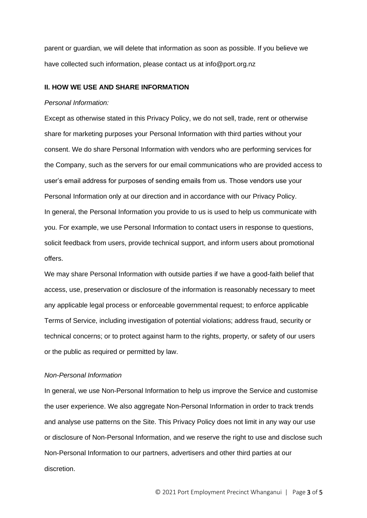parent or guardian, we will delete that information as soon as possible. If you believe we have collected such information, please contact us at info@port.org.nz

# **II. HOW WE USE AND SHARE INFORMATION**

#### *Personal Information:*

Except as otherwise stated in this Privacy Policy, we do not sell, trade, rent or otherwise share for marketing purposes your Personal Information with third parties without your consent. We do share Personal Information with vendors who are performing services for the Company, such as the servers for our email communications who are provided access to user's email address for purposes of sending emails from us. Those vendors use your Personal Information only at our direction and in accordance with our Privacy Policy. In general, the Personal Information you provide to us is used to help us communicate with you. For example, we use Personal Information to contact users in response to questions, solicit feedback from users, provide technical support, and inform users about promotional offers.

We may share Personal Information with outside parties if we have a good-faith belief that access, use, preservation or disclosure of the information is reasonably necessary to meet any applicable legal process or enforceable governmental request; to enforce applicable Terms of Service, including investigation of potential violations; address fraud, security or technical concerns; or to protect against harm to the rights, property, or safety of our users or the public as required or permitted by law.

# *Non-Personal Information*

In general, we use Non-Personal Information to help us improve the Service and customise the user experience. We also aggregate Non-Personal Information in order to track trends and analyse use patterns on the Site. This Privacy Policy does not limit in any way our use or disclosure of Non-Personal Information, and we reserve the right to use and disclose such Non-Personal Information to our partners, advertisers and other third parties at our discretion.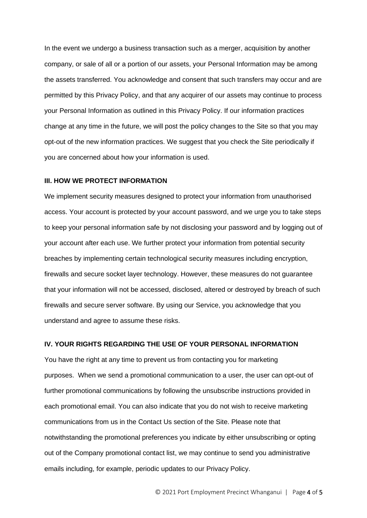In the event we undergo a business transaction such as a merger, acquisition by another company, or sale of all or a portion of our assets, your Personal Information may be among the assets transferred. You acknowledge and consent that such transfers may occur and are permitted by this Privacy Policy, and that any acquirer of our assets may continue to process your Personal Information as outlined in this Privacy Policy. If our information practices change at any time in the future, we will post the policy changes to the Site so that you may opt-out of the new information practices. We suggest that you check the Site periodically if you are concerned about how your information is used.

## **III. HOW WE PROTECT INFORMATION**

We implement security measures designed to protect your information from unauthorised access. Your account is protected by your account password, and we urge you to take steps to keep your personal information safe by not disclosing your password and by logging out of your account after each use. We further protect your information from potential security breaches by implementing certain technological security measures including encryption, firewalls and secure socket layer technology. However, these measures do not guarantee that your information will not be accessed, disclosed, altered or destroyed by breach of such firewalls and secure server software. By using our Service, you acknowledge that you understand and agree to assume these risks.

### **IV. YOUR RIGHTS REGARDING THE USE OF YOUR PERSONAL INFORMATION**

You have the right at any time to prevent us from contacting you for marketing purposes. When we send a promotional communication to a user, the user can opt-out of further promotional communications by following the unsubscribe instructions provided in each promotional email. You can also indicate that you do not wish to receive marketing communications from us in the Contact Us section of the Site. Please note that notwithstanding the promotional preferences you indicate by either unsubscribing or opting out of the Company promotional contact list, we may continue to send you administrative emails including, for example, periodic updates to our Privacy Policy.